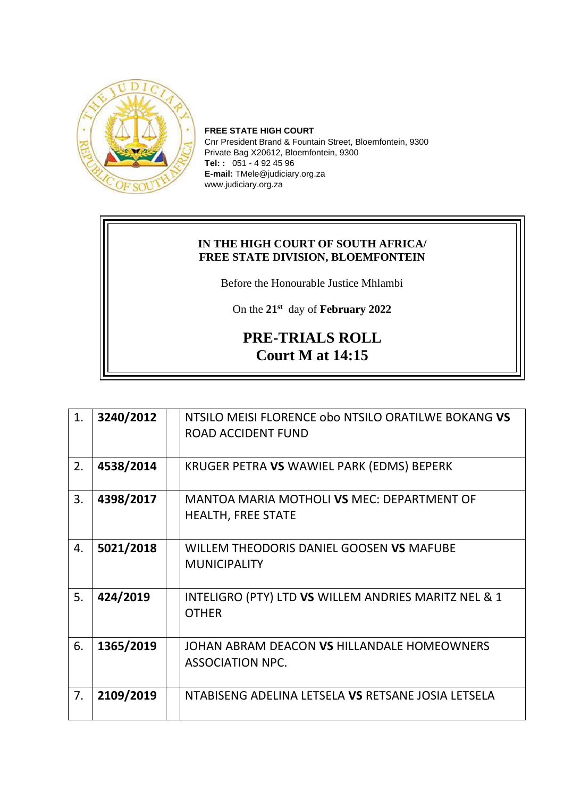

**FREE STATE HIGH COURT** Cnr President Brand & Fountain Street, Bloemfontein, 9300 Private Bag X20612, Bloemfontein, 9300 **Tel: :** 051 - 4 92 45 96 **E-mail:** TMele@judiciary.org.za www.judiciary.org.za

## **IN THE HIGH COURT OF SOUTH AFRICA/ FREE STATE DIVISION, BLOEMFONTEIN**

Before the Honourable Justice Mhlambi

On the **21st** day of **February 2022**

## **PRE-TRIALS ROLL Court M at 14:15**

| 1. | 3240/2012 | NTSILO MEISI FLORENCE obo NTSILO ORATILWE BOKANG VS<br><b>ROAD ACCIDENT FUND</b> |
|----|-----------|----------------------------------------------------------------------------------|
| 2. | 4538/2014 | KRUGER PETRA VS WAWIEL PARK (EDMS) BEPERK                                        |
| 3. | 4398/2017 | MANTOA MARIA MOTHOLI VS MEC: DEPARTMENT OF<br><b>HEALTH, FREE STATE</b>          |
| 4. | 5021/2018 | WILLEM THEODORIS DANIEL GOOSEN VS MAFUBE<br><b>MUNICIPALITY</b>                  |
| 5. | 424/2019  | INTELIGRO (PTY) LTD VS WILLEM ANDRIES MARITZ NEL & 1<br><b>OTHER</b>             |
| 6. | 1365/2019 | JOHAN ABRAM DEACON VS HILLANDALE HOMEOWNERS<br><b>ASSOCIATION NPC.</b>           |
| 7. | 2109/2019 | NTABISENG ADELINA LETSELA VS RETSANE JOSIA LETSELA                               |